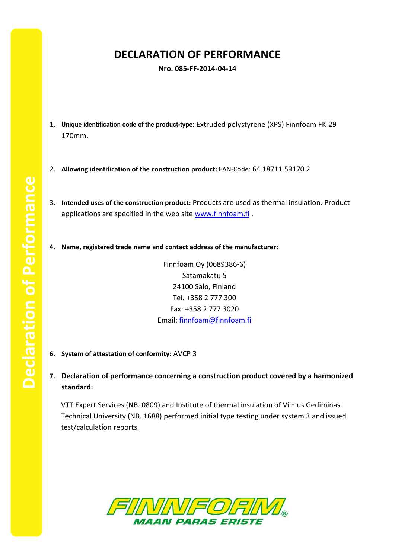## **DECLARATION OF PERFORMANCE**

**Nro. 085-FF-2014-04-14**

- 1. **Unique identification code of the product-type:** Extruded polystyrene (XPS) Finnfoam FK-29 170mm.
- 2. **Allowing identification of the construction product:** EAN-Code: 64 18711 59170 2
- 3. **Intended uses of the construction product:** Products are used as thermal insulation. Product applications are specified in the web site [www.finnfoam.fi](http://www.finnfoam.fi/).
- **4. Name, registered trade name and contact address of the manufacturer:**

Finnfoam Oy (0689386-6) Satamakatu 5 24100 Salo, Finland Tel. +358 2 777 300 Fax: +358 2 777 3020 Email: [finnfoam@finnfoam.fi](mailto:finnfoam@finnfoam.fi)

- **6. System of attestation of conformity:** AVCP 3
- **7. Declaration of performance concerning a construction product covered by a harmonized standard:**

VTT Expert Services (NB. 0809) and Institute of thermal insulation of Vilnius Gediminas Technical University (NB. 1688) performed initial type testing under system 3 and issued test/calculation reports.